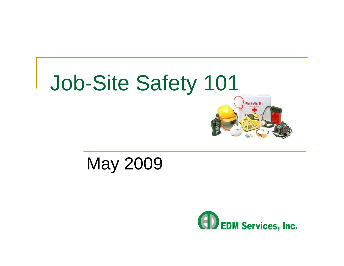

### May 2009

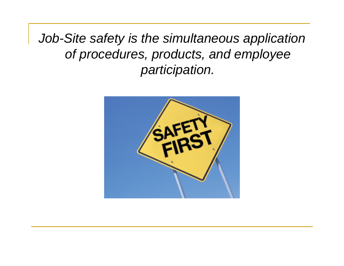*Job-Site safety is the simultaneous application of procedures, products, and employee participation.*

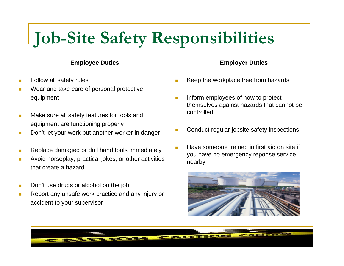# **Job-Site Safety Responsibilities**

#### **Employee Duties**

- П Follow all safety rules
- Wear and take care of personal protective equipment
- $\mathcal{L}_{\mathcal{A}}$  Make sure all safety features for tools and equipment are functioning properly
- п Don't let your work put another worker in danger
- Replace damaged or dull hand tools immediately
- Avoid horseplay, practical jokes, or other activities that create a hazard
- П Don't use drugs or alcohol on the job
- $\mathbf{r}$  Report any unsafe work practice and any injury or accident to your supervisor

#### **Employer Duties**

- П Keep the workplace free from hazards
- $\overline{\phantom{a}}$  Inform employees of how to protect themselves against hazards that cannot be controlled
- П Conduct regular jobsite safety inspections
- Have someone trained in first aid on site if you have no emergency reponse service nearby



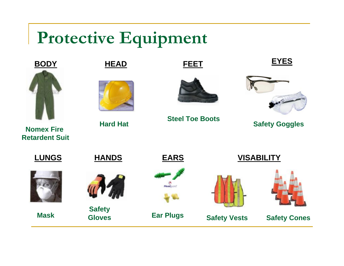# **Protective Equipment**



**Nomex Fire Retardent Suit**





**Hard Hat**



**FEET**

**Steel Toe Boots**





**Safety Goggles**



**Mask**



**Safety Gloves**





**Ear Plugs**





**Safety Vests**



**Safety Cones**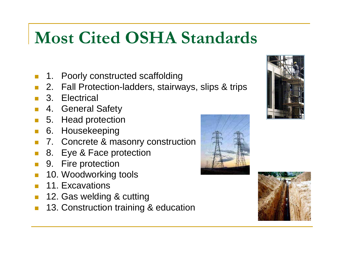# **Most Cited OSHA Standards**

- П 1. Poorly constructed scaffolding
- 2. Fall Protection-ladders, stairways, slips & trips
- 3. Electrical
- $\overline{\phantom{a}}$ 4. General Safety
- 5. Head protection
- P. 6. Housekeeping
- 7. Concrete & masonry construction
- П 8. Eye & Face protection
- 9. Fire protection
- $\overline{\phantom{a}}$ 10. Woodworking tools
- 11. Excavations
- $\mathbb{R}^2$ 12. Gas welding & cutting
- $\overline{\phantom{a}}$ 13. Construction training & education